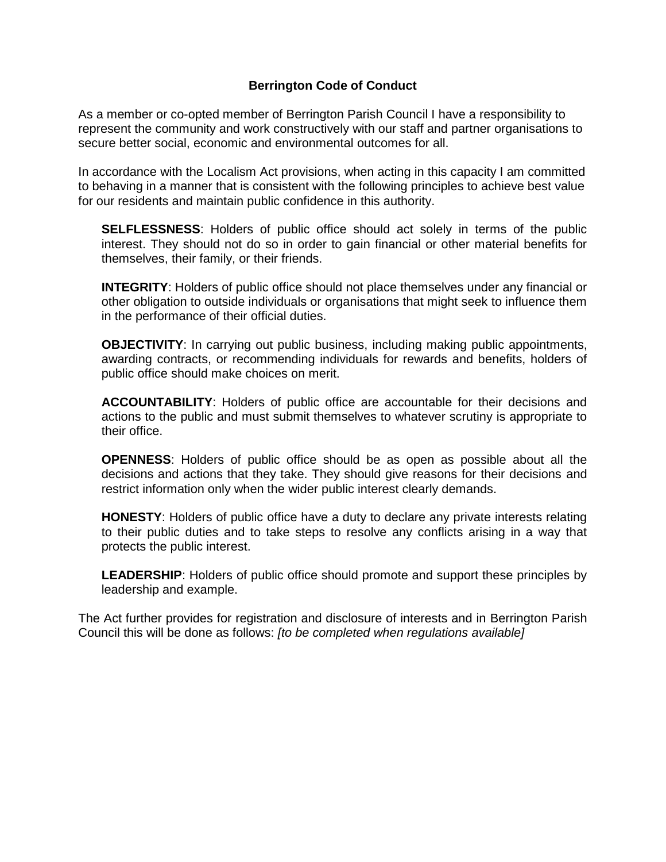## **Berrington Code of Conduct**

As a member or co-opted member of Berrington Parish Council I have a responsibility to represent the community and work constructively with our staff and partner organisations to secure better social, economic and environmental outcomes for all.

In accordance with the Localism Act provisions, when acting in this capacity I am committed to behaving in a manner that is consistent with the following principles to achieve best value for our residents and maintain public confidence in this authority.

**SELFLESSNESS**: Holders of public office should act solely in terms of the public interest. They should not do so in order to gain financial or other material benefits for themselves, their family, or their friends.

**INTEGRITY**: Holders of public office should not place themselves under any financial or other obligation to outside individuals or organisations that might seek to influence them in the performance of their official duties.

**OBJECTIVITY:** In carrying out public business, including making public appointments, awarding contracts, or recommending individuals for rewards and benefits, holders of public office should make choices on merit.

**ACCOUNTABILITY**: Holders of public office are accountable for their decisions and actions to the public and must submit themselves to whatever scrutiny is appropriate to their office.

**OPENNESS**: Holders of public office should be as open as possible about all the decisions and actions that they take. They should give reasons for their decisions and restrict information only when the wider public interest clearly demands.

**HONESTY**: Holders of public office have a duty to declare any private interests relating to their public duties and to take steps to resolve any conflicts arising in a way that protects the public interest.

**LEADERSHIP**: Holders of public office should promote and support these principles by leadership and example.

The Act further provides for registration and disclosure of interests and in Berrington Parish Council this will be done as follows: *[to be completed when regulations available]*